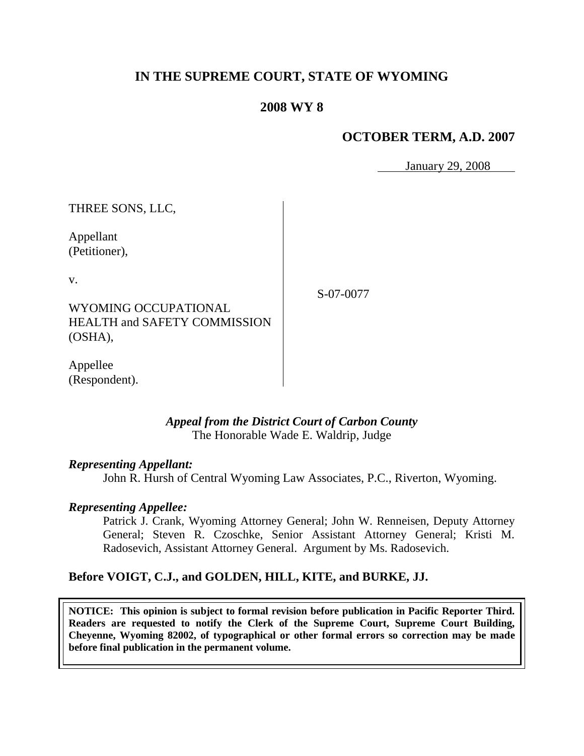# **IN THE SUPREME COURT, STATE OF WYOMING**

## **2008 WY 8**

## **OCTOBER TERM, A.D. 2007**

January 29, 2008

THREE SONS, LLC,

Appellant (Petitioner),

v.

S-07-0077

WYOMING OCCUPATIONAL HEALTH and SAFETY COMMISSION (OSHA),

Appellee (Respondent).

### *Appeal from the District Court of Carbon County* The Honorable Wade E. Waldrip, Judge

#### *Representing Appellant:*

John R. Hursh of Central Wyoming Law Associates, P.C., Riverton, Wyoming.

#### *Representing Appellee:*

Patrick J. Crank, Wyoming Attorney General; John W. Renneisen, Deputy Attorney General; Steven R. Czoschke, Senior Assistant Attorney General; Kristi M. Radosevich, Assistant Attorney General. Argument by Ms. Radosevich.

### **Before VOIGT, C.J., and GOLDEN, HILL, KITE, and BURKE, JJ.**

**NOTICE: This opinion is subject to formal revision before publication in Pacific Reporter Third. Readers are requested to notify the Clerk of the Supreme Court, Supreme Court Building, Cheyenne, Wyoming 82002, of typographical or other formal errors so correction may be made before final publication in the permanent volume.**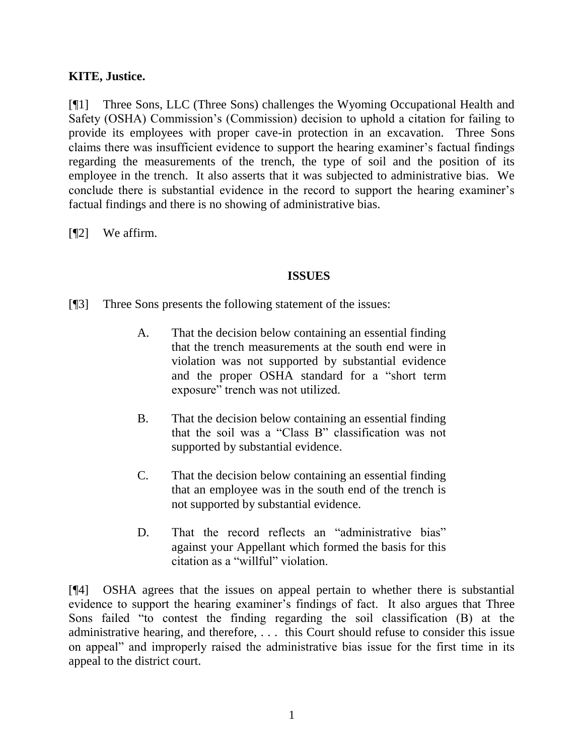## **KITE, Justice.**

[¶1] Three Sons, LLC (Three Sons) challenges the Wyoming Occupational Health and Safety (OSHA) Commission"s (Commission) decision to uphold a citation for failing to provide its employees with proper cave-in protection in an excavation. Three Sons claims there was insufficient evidence to support the hearing examiner"s factual findings regarding the measurements of the trench, the type of soil and the position of its employee in the trench. It also asserts that it was subjected to administrative bias. We conclude there is substantial evidence in the record to support the hearing examiner's factual findings and there is no showing of administrative bias.

[¶2] We affirm.

### **ISSUES**

[¶3] Three Sons presents the following statement of the issues:

- A. That the decision below containing an essential finding that the trench measurements at the south end were in violation was not supported by substantial evidence and the proper OSHA standard for a "short term exposure" trench was not utilized.
- B. That the decision below containing an essential finding that the soil was a "Class B" classification was not supported by substantial evidence.
- C. That the decision below containing an essential finding that an employee was in the south end of the trench is not supported by substantial evidence.
- D. That the record reflects an "administrative bias" against your Appellant which formed the basis for this citation as a "willful" violation.

[¶4] OSHA agrees that the issues on appeal pertain to whether there is substantial evidence to support the hearing examiner"s findings of fact. It also argues that Three Sons failed "to contest the finding regarding the soil classification (B) at the administrative hearing, and therefore, . . . this Court should refuse to consider this issue on appeal" and improperly raised the administrative bias issue for the first time in its appeal to the district court.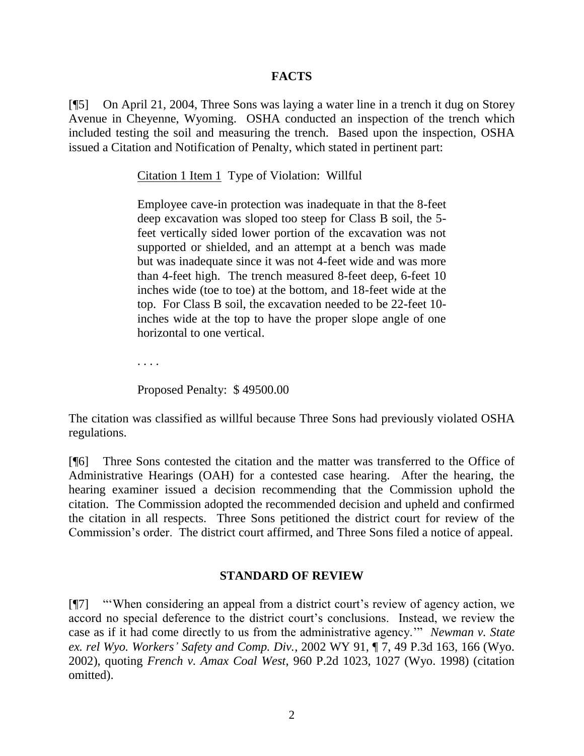## **FACTS**

[¶5] On April 21, 2004, Three Sons was laying a water line in a trench it dug on Storey Avenue in Cheyenne, Wyoming. OSHA conducted an inspection of the trench which included testing the soil and measuring the trench. Based upon the inspection, OSHA issued a Citation and Notification of Penalty, which stated in pertinent part:

Citation 1 Item 1 Type of Violation: Willful

Employee cave-in protection was inadequate in that the 8-feet deep excavation was sloped too steep for Class B soil, the 5 feet vertically sided lower portion of the excavation was not supported or shielded, and an attempt at a bench was made but was inadequate since it was not 4-feet wide and was more than 4-feet high. The trench measured 8-feet deep, 6-feet 10 inches wide (toe to toe) at the bottom, and 18-feet wide at the top. For Class B soil, the excavation needed to be 22-feet 10 inches wide at the top to have the proper slope angle of one horizontal to one vertical.

. . . .

Proposed Penalty: \$ 49500.00

The citation was classified as willful because Three Sons had previously violated OSHA regulations.

[¶6] Three Sons contested the citation and the matter was transferred to the Office of Administrative Hearings (OAH) for a contested case hearing. After the hearing, the hearing examiner issued a decision recommending that the Commission uphold the citation. The Commission adopted the recommended decision and upheld and confirmed the citation in all respects. Three Sons petitioned the district court for review of the Commission"s order. The district court affirmed, and Three Sons filed a notice of appeal.

## **STANDARD OF REVIEW**

[¶7] ""When considering an appeal from a district court"s review of agency action, we accord no special deference to the district court's conclusions. Instead, we review the case as if it had come directly to us from the administrative agency."" *Newman v. State ex. rel Wyo. Workers' Safety and Comp. Div.*, 2002 WY 91, ¶ 7, 49 P.3d 163, 166 (Wyo. 2002), quoting *French v. Amax Coal West*, 960 P.2d 1023, 1027 (Wyo. 1998) (citation omitted).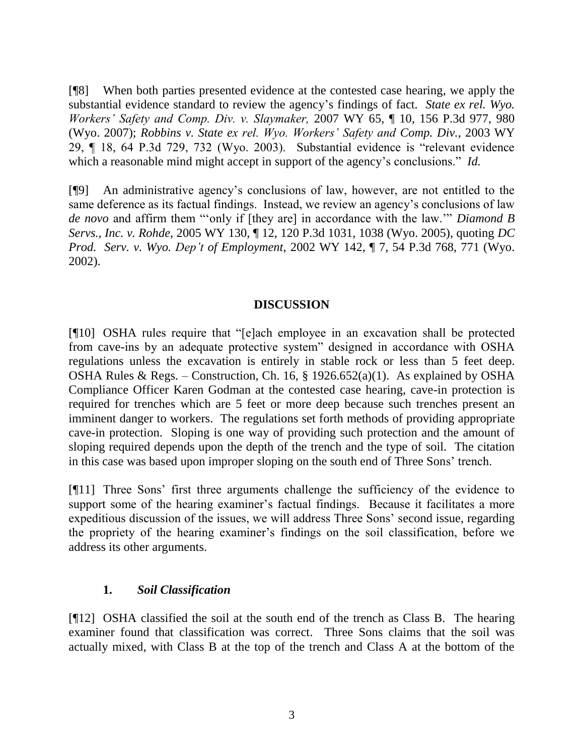[¶8] When both parties presented evidence at the contested case hearing, we apply the substantial evidence standard to review the agency"s findings of fact. *State ex rel. Wyo. Workers' Safety and Comp. Div. v. Slaymaker,* 2007 WY 65, ¶ 10, 156 P.3d 977, 980 (Wyo. 2007); *Robbins v. State ex rel. Wyo. Workers' Safety and Comp. Div.*, 2003 WY 29, ¶ 18, 64 P.3d 729, 732 (Wyo. 2003). Substantial evidence is "relevant evidence which a reasonable mind might accept in support of the agency's conclusions." *Id.* 

[¶9] An administrative agency"s conclusions of law, however, are not entitled to the same deference as its factual findings. Instead, we review an agency's conclusions of law *de novo* and affirm them ""only if [they are] in accordance with the law."" *Diamond B Servs., Inc. v. Rohde*, 2005 WY 130, ¶ 12, 120 P.3d 1031, 1038 (Wyo. 2005), quoting *DC Prod. Serv. v. Wyo. Dep't of Employment*, 2002 WY 142, ¶ 7, 54 P.3d 768, 771 (Wyo. 2002).

## **DISCUSSION**

[¶10] OSHA rules require that "[e]ach employee in an excavation shall be protected from cave-ins by an adequate protective system" designed in accordance with OSHA regulations unless the excavation is entirely in stable rock or less than 5 feet deep. OSHA Rules & Regs. – Construction, Ch. 16, § 1926.652(a)(1). As explained by OSHA Compliance Officer Karen Godman at the contested case hearing, cave-in protection is required for trenches which are 5 feet or more deep because such trenches present an imminent danger to workers. The regulations set forth methods of providing appropriate cave-in protection. Sloping is one way of providing such protection and the amount of sloping required depends upon the depth of the trench and the type of soil. The citation in this case was based upon improper sloping on the south end of Three Sons' trench.

[¶11] Three Sons" first three arguments challenge the sufficiency of the evidence to support some of the hearing examiner's factual findings. Because it facilitates a more expeditious discussion of the issues, we will address Three Sons" second issue, regarding the propriety of the hearing examiner"s findings on the soil classification, before we address its other arguments.

## **1.** *Soil Classification*

[¶12] OSHA classified the soil at the south end of the trench as Class B. The hearing examiner found that classification was correct. Three Sons claims that the soil was actually mixed, with Class B at the top of the trench and Class A at the bottom of the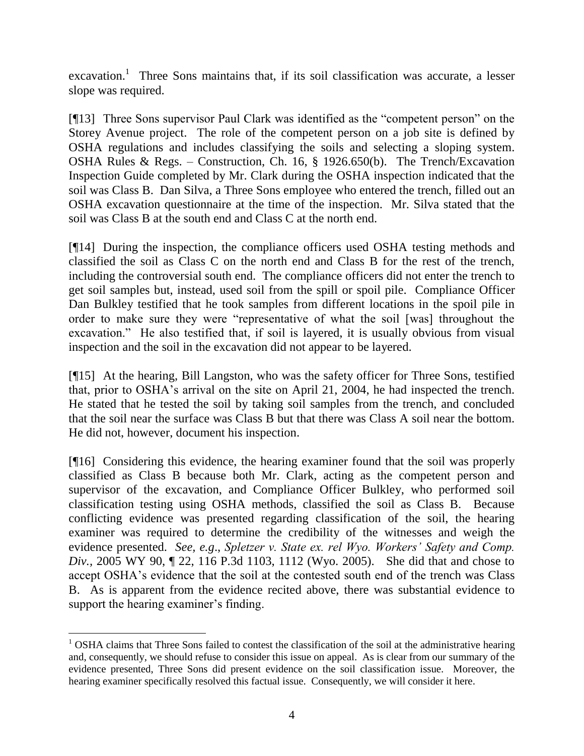excavation.<sup>1</sup> Three Sons maintains that, if its soil classification was accurate, a lesser slope was required.

[¶13] Three Sons supervisor Paul Clark was identified as the "competent person" on the Storey Avenue project. The role of the competent person on a job site is defined by OSHA regulations and includes classifying the soils and selecting a sloping system. OSHA Rules & Regs. – Construction, Ch. 16, § 1926.650(b). The Trench/Excavation Inspection Guide completed by Mr. Clark during the OSHA inspection indicated that the soil was Class B. Dan Silva, a Three Sons employee who entered the trench, filled out an OSHA excavation questionnaire at the time of the inspection. Mr. Silva stated that the soil was Class B at the south end and Class C at the north end.

[¶14] During the inspection, the compliance officers used OSHA testing methods and classified the soil as Class C on the north end and Class B for the rest of the trench, including the controversial south end. The compliance officers did not enter the trench to get soil samples but, instead, used soil from the spill or spoil pile. Compliance Officer Dan Bulkley testified that he took samples from different locations in the spoil pile in order to make sure they were "representative of what the soil [was] throughout the excavation." He also testified that, if soil is layered, it is usually obvious from visual inspection and the soil in the excavation did not appear to be layered.

[¶15] At the hearing, Bill Langston, who was the safety officer for Three Sons, testified that, prior to OSHA"s arrival on the site on April 21, 2004, he had inspected the trench. He stated that he tested the soil by taking soil samples from the trench, and concluded that the soil near the surface was Class B but that there was Class A soil near the bottom. He did not, however, document his inspection.

[¶16] Considering this evidence, the hearing examiner found that the soil was properly classified as Class B because both Mr. Clark, acting as the competent person and supervisor of the excavation, and Compliance Officer Bulkley, who performed soil classification testing using OSHA methods, classified the soil as Class B. Because conflicting evidence was presented regarding classification of the soil, the hearing examiner was required to determine the credibility of the witnesses and weigh the evidence presented. *See, e.g*., *Spletzer v. State ex. rel Wyo. Workers' Safety and Comp. Div.,* 2005 WY 90, ¶ 22, 116 P.3d 1103, 1112 (Wyo. 2005). She did that and chose to accept OSHA"s evidence that the soil at the contested south end of the trench was Class B. As is apparent from the evidence recited above, there was substantial evidence to support the hearing examiner's finding.

<sup>&</sup>lt;sup>1</sup> OSHA claims that Three Sons failed to contest the classification of the soil at the administrative hearing and, consequently, we should refuse to consider this issue on appeal. As is clear from our summary of the evidence presented, Three Sons did present evidence on the soil classification issue. Moreover, the hearing examiner specifically resolved this factual issue. Consequently, we will consider it here.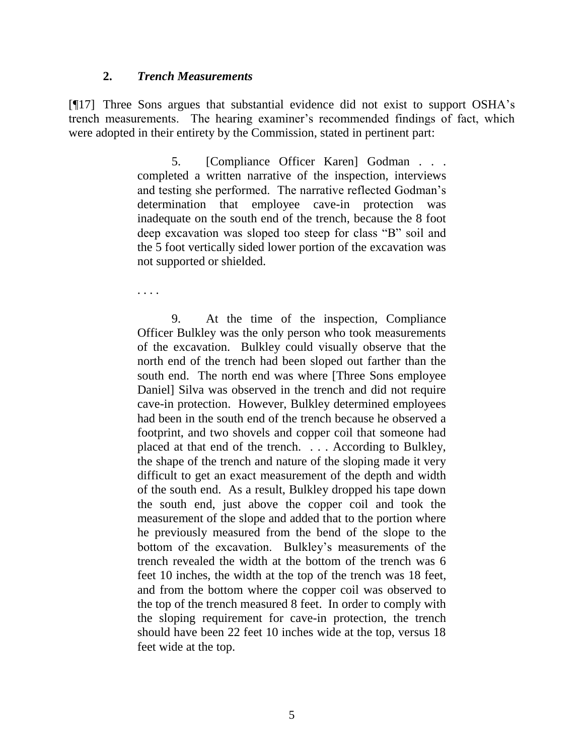#### **2.** *Trench Measurements*

[¶17] Three Sons argues that substantial evidence did not exist to support OSHA"s trench measurements. The hearing examiner"s recommended findings of fact, which were adopted in their entirety by the Commission, stated in pertinent part:

> 5. [Compliance Officer Karen] Godman . . . completed a written narrative of the inspection, interviews and testing she performed. The narrative reflected Godman"s determination that employee cave-in protection was inadequate on the south end of the trench, because the 8 foot deep excavation was sloped too steep for class "B" soil and the 5 foot vertically sided lower portion of the excavation was not supported or shielded.

. . . .

9. At the time of the inspection, Compliance Officer Bulkley was the only person who took measurements of the excavation. Bulkley could visually observe that the north end of the trench had been sloped out farther than the south end. The north end was where [Three Sons employee Daniel] Silva was observed in the trench and did not require cave-in protection. However, Bulkley determined employees had been in the south end of the trench because he observed a footprint, and two shovels and copper coil that someone had placed at that end of the trench. . . . According to Bulkley, the shape of the trench and nature of the sloping made it very difficult to get an exact measurement of the depth and width of the south end. As a result, Bulkley dropped his tape down the south end, just above the copper coil and took the measurement of the slope and added that to the portion where he previously measured from the bend of the slope to the bottom of the excavation. Bulkley"s measurements of the trench revealed the width at the bottom of the trench was 6 feet 10 inches, the width at the top of the trench was 18 feet, and from the bottom where the copper coil was observed to the top of the trench measured 8 feet. In order to comply with the sloping requirement for cave-in protection, the trench should have been 22 feet 10 inches wide at the top, versus 18 feet wide at the top.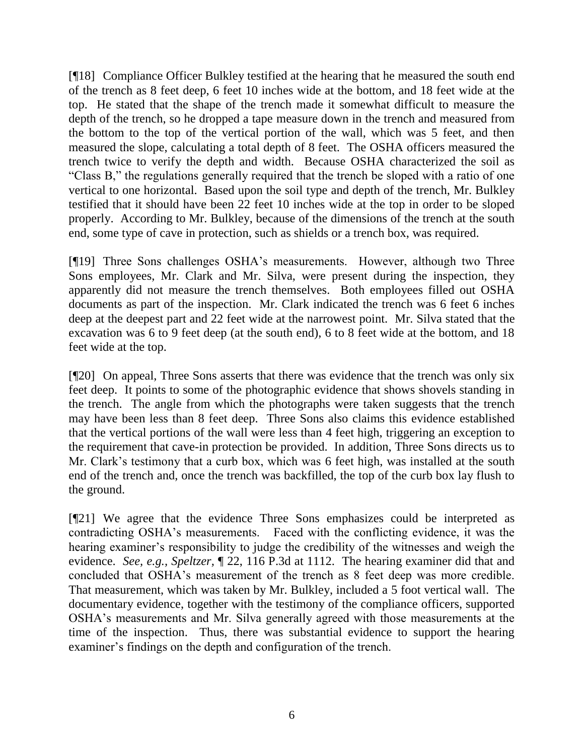[¶18] Compliance Officer Bulkley testified at the hearing that he measured the south end of the trench as 8 feet deep, 6 feet 10 inches wide at the bottom, and 18 feet wide at the top. He stated that the shape of the trench made it somewhat difficult to measure the depth of the trench, so he dropped a tape measure down in the trench and measured from the bottom to the top of the vertical portion of the wall, which was 5 feet, and then measured the slope, calculating a total depth of 8 feet. The OSHA officers measured the trench twice to verify the depth and width. Because OSHA characterized the soil as "Class B," the regulations generally required that the trench be sloped with a ratio of one vertical to one horizontal. Based upon the soil type and depth of the trench, Mr. Bulkley testified that it should have been 22 feet 10 inches wide at the top in order to be sloped properly. According to Mr. Bulkley, because of the dimensions of the trench at the south end, some type of cave in protection, such as shields or a trench box, was required.

[¶19] Three Sons challenges OSHA"s measurements. However, although two Three Sons employees, Mr. Clark and Mr. Silva, were present during the inspection, they apparently did not measure the trench themselves. Both employees filled out OSHA documents as part of the inspection. Mr. Clark indicated the trench was 6 feet 6 inches deep at the deepest part and 22 feet wide at the narrowest point. Mr. Silva stated that the excavation was 6 to 9 feet deep (at the south end), 6 to 8 feet wide at the bottom, and 18 feet wide at the top.

[¶20] On appeal, Three Sons asserts that there was evidence that the trench was only six feet deep. It points to some of the photographic evidence that shows shovels standing in the trench. The angle from which the photographs were taken suggests that the trench may have been less than 8 feet deep. Three Sons also claims this evidence established that the vertical portions of the wall were less than 4 feet high, triggering an exception to the requirement that cave-in protection be provided. In addition, Three Sons directs us to Mr. Clark's testimony that a curb box, which was 6 feet high, was installed at the south end of the trench and, once the trench was backfilled, the top of the curb box lay flush to the ground.

[¶21] We agree that the evidence Three Sons emphasizes could be interpreted as contradicting OSHA"s measurements. Faced with the conflicting evidence, it was the hearing examiner's responsibility to judge the credibility of the witnesses and weigh the evidence. *See, e.g., Speltzer,* ¶ 22, 116 P.3d at 1112. The hearing examiner did that and concluded that OSHA"s measurement of the trench as 8 feet deep was more credible. That measurement, which was taken by Mr. Bulkley, included a 5 foot vertical wall. The documentary evidence, together with the testimony of the compliance officers, supported OSHA"s measurements and Mr. Silva generally agreed with those measurements at the time of the inspection. Thus, there was substantial evidence to support the hearing examiner's findings on the depth and configuration of the trench.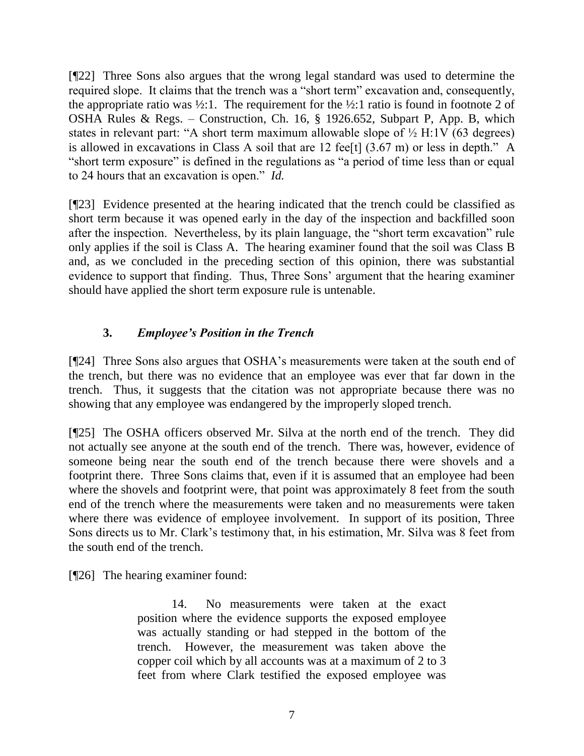[¶22] Three Sons also argues that the wrong legal standard was used to determine the required slope. It claims that the trench was a "short term" excavation and, consequently, the appropriate ratio was  $\frac{1}{2}$ :1. The requirement for the  $\frac{1}{2}$ :1 ratio is found in footnote 2 of OSHA Rules & Regs. – Construction, Ch. 16, § 1926.652, Subpart P, App. B, which states in relevant part: "A short term maximum allowable slope of ½ H:1V (63 degrees) is allowed in excavations in Class A soil that are 12 fee [t]  $(3.67 \text{ m})$  or less in depth." A "short term exposure" is defined in the regulations as "a period of time less than or equal to 24 hours that an excavation is open." *Id.*

[¶23] Evidence presented at the hearing indicated that the trench could be classified as short term because it was opened early in the day of the inspection and backfilled soon after the inspection. Nevertheless, by its plain language, the "short term excavation" rule only applies if the soil is Class A. The hearing examiner found that the soil was Class B and, as we concluded in the preceding section of this opinion, there was substantial evidence to support that finding. Thus, Three Sons' argument that the hearing examiner should have applied the short term exposure rule is untenable.

# **3.** *Employee's Position in the Trench*

[¶24] Three Sons also argues that OSHA"s measurements were taken at the south end of the trench, but there was no evidence that an employee was ever that far down in the trench. Thus, it suggests that the citation was not appropriate because there was no showing that any employee was endangered by the improperly sloped trench.

[¶25] The OSHA officers observed Mr. Silva at the north end of the trench. They did not actually see anyone at the south end of the trench. There was, however, evidence of someone being near the south end of the trench because there were shovels and a footprint there. Three Sons claims that, even if it is assumed that an employee had been where the shovels and footprint were, that point was approximately 8 feet from the south end of the trench where the measurements were taken and no measurements were taken where there was evidence of employee involvement. In support of its position, Three Sons directs us to Mr. Clark"s testimony that, in his estimation, Mr. Silva was 8 feet from the south end of the trench.

[¶26] The hearing examiner found:

14. No measurements were taken at the exact position where the evidence supports the exposed employee was actually standing or had stepped in the bottom of the trench. However, the measurement was taken above the copper coil which by all accounts was at a maximum of 2 to 3 feet from where Clark testified the exposed employee was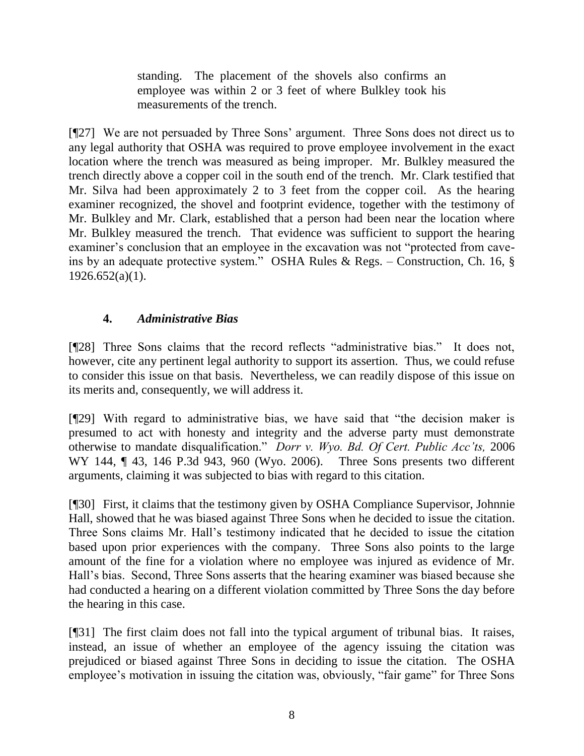standing. The placement of the shovels also confirms an employee was within 2 or 3 feet of where Bulkley took his measurements of the trench.

[¶27] We are not persuaded by Three Sons" argument. Three Sons does not direct us to any legal authority that OSHA was required to prove employee involvement in the exact location where the trench was measured as being improper. Mr. Bulkley measured the trench directly above a copper coil in the south end of the trench. Mr. Clark testified that Mr. Silva had been approximately 2 to 3 feet from the copper coil. As the hearing examiner recognized, the shovel and footprint evidence, together with the testimony of Mr. Bulkley and Mr. Clark, established that a person had been near the location where Mr. Bulkley measured the trench. That evidence was sufficient to support the hearing examiner's conclusion that an employee in the excavation was not "protected from caveins by an adequate protective system." OSHA Rules & Regs. – Construction, Ch. 16, §  $1926.652(a)(1)$ .

# **4.** *Administrative Bias*

[¶28] Three Sons claims that the record reflects "administrative bias." It does not, however, cite any pertinent legal authority to support its assertion. Thus, we could refuse to consider this issue on that basis. Nevertheless, we can readily dispose of this issue on its merits and, consequently, we will address it.

[¶29] With regard to administrative bias, we have said that "the decision maker is presumed to act with honesty and integrity and the adverse party must demonstrate otherwise to mandate disqualification." *Dorr v. Wyo. Bd. Of Cert. Public Acc'ts,* 2006 WY 144, ¶ 43, 146 P.3d 943, 960 (Wyo. 2006). Three Sons presents two different arguments, claiming it was subjected to bias with regard to this citation.

[¶30] First, it claims that the testimony given by OSHA Compliance Supervisor, Johnnie Hall, showed that he was biased against Three Sons when he decided to issue the citation. Three Sons claims Mr. Hall"s testimony indicated that he decided to issue the citation based upon prior experiences with the company. Three Sons also points to the large amount of the fine for a violation where no employee was injured as evidence of Mr. Hall"s bias. Second, Three Sons asserts that the hearing examiner was biased because she had conducted a hearing on a different violation committed by Three Sons the day before the hearing in this case.

[¶31] The first claim does not fall into the typical argument of tribunal bias. It raises, instead, an issue of whether an employee of the agency issuing the citation was prejudiced or biased against Three Sons in deciding to issue the citation. The OSHA employee's motivation in issuing the citation was, obviously, "fair game" for Three Sons